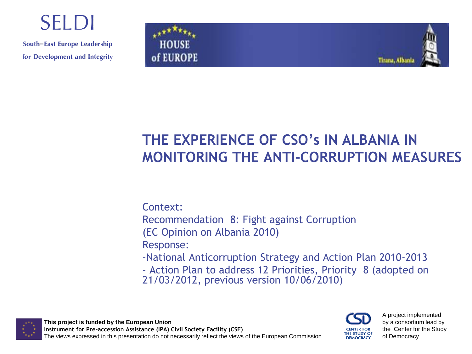## **SELDI**

South-East Europe Leadership for Development and Integrity



### **THE EXPERIENCE OF CSO's IN ALBANIA IN MONITORING THE ANTI-CORRUPTION MEASURES**

Context: Recommendation 8: Fight against Corruption (EC Opinion on Albania 2010) Response: -National Anticorruption Strategy and Action Plan 2010-2013 - Action Plan to address 12 Priorities, Priority 8 (adopted on 21/03/2012, previous version 10/06/2010)



**This project is funded by the European Union Instrument for Pre-accession Assistance (IPA) Civil Society Facility (CSF)** The views expressed in this presentation do not necessarily reflect the views of the European Commission



A project implemented by a consortium lead by the Center for the Study of Democracy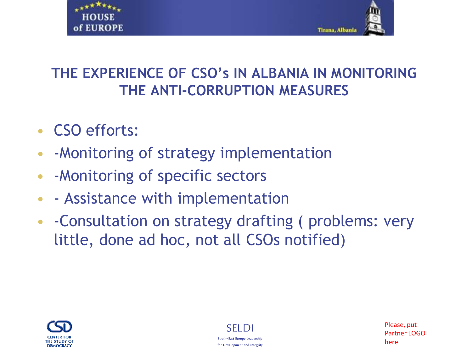



- CSO efforts:
- -Monitoring of strategy implementation
- -Monitoring of specific sectors
- - Assistance with implementation
- -Consultation on strategy drafting ( problems: very little, done ad hoc, not all CSOs notified)



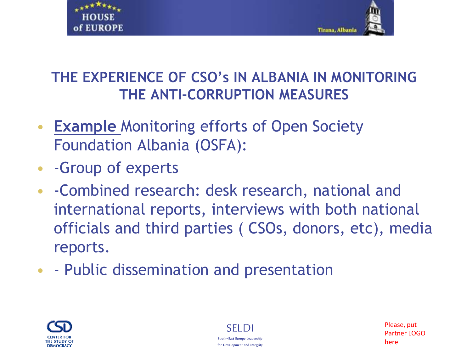



- **Example Monitoring efforts of Open Society** Foundation Albania (OSFA):
- -Group of experts
- -Combined research: desk research, national and international reports, interviews with both national officials and third parties ( CSOs, donors, etc), media reports.
- - Public dissemination and presentation





Please, put Partner LOGO here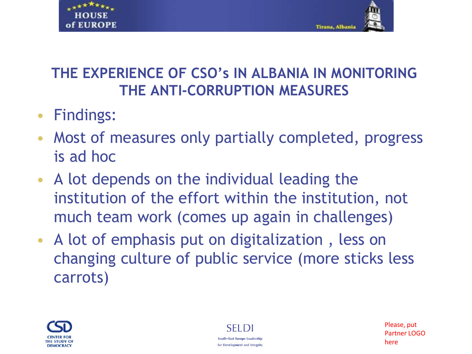



- Findings:
- Most of measures only partially completed, progress is ad hoc
- A lot depends on the individual leading the institution of the effort within the institution, not much team work (comes up again in challenges)
- A lot of emphasis put on digitalization , less on changing culture of public service (more sticks less carrots)



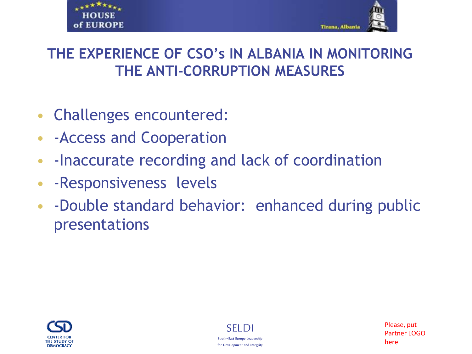



- Challenges encountered:
- -Access and Cooperation
- -Inaccurate recording and lack of coordination
- -Responsiveness levels
- -Double standard behavior: enhanced during public presentations



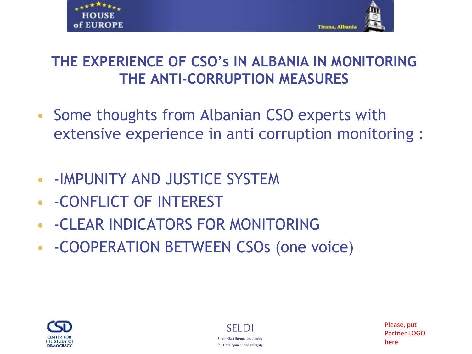



- Some thoughts from Albanian CSO experts with extensive experience in anti corruption monitoring :
- -IMPUNITY AND JUSTICE SYSTEM
- -CONFLICT OF INTEREST
- -CLEAR INDICATORS FOR MONITORING
- -COOPERATION BETWEEN CSOs (one voice)





Please, put Partner LOGO here